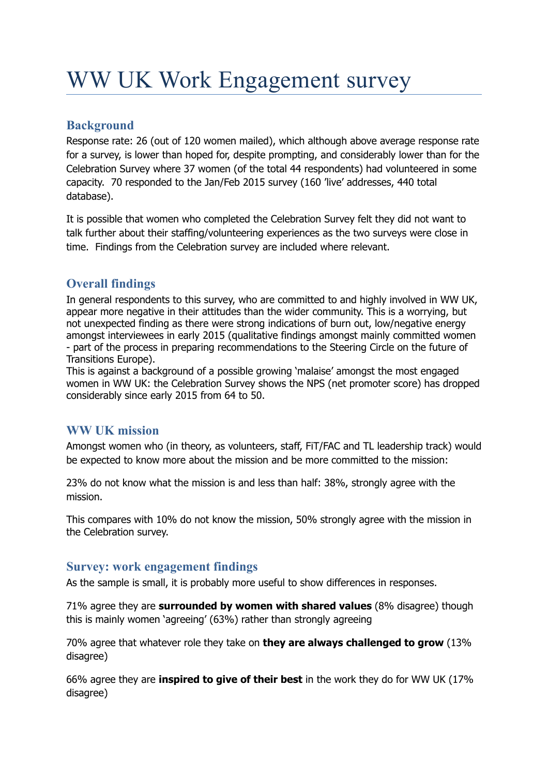# WW UK Work Engagement survey

# **Background**

Response rate: 26 (out of 120 women mailed), which although above average response rate for a survey, is lower than hoped for, despite prompting, and considerably lower than for the Celebration Survey where 37 women (of the total 44 respondents) had volunteered in some capacity. 70 responded to the Jan/Feb 2015 survey (160 'live' addresses, 440 total database).

It is possible that women who completed the Celebration Survey felt they did not want to talk further about their staffing/volunteering experiences as the two surveys were close in time. Findings from the Celebration survey are included where relevant.

# **Overall findings**

In general respondents to this survey, who are committed to and highly involved in WW UK, appear more negative in their attitudes than the wider community. This is a worrying, but not unexpected finding as there were strong indications of burn out, low/negative energy amongst interviewees in early 2015 (qualitative findings amongst mainly committed women - part of the process in preparing recommendations to the Steering Circle on the future of Transitions Europe).

This is against a background of a possible growing 'malaise' amongst the most engaged women in WW UK: the Celebration Survey shows the NPS (net promoter score) has dropped considerably since early 2015 from 64 to 50.

# **WW UK mission**

Amongst women who (in theory, as volunteers, staff, FiT/FAC and TL leadership track) would be expected to know more about the mission and be more committed to the mission:

23% do not know what the mission is and less than half: 38%, strongly agree with the mission.

This compares with 10% do not know the mission, 50% strongly agree with the mission in the Celebration survey.

# **Survey: work engagement findings**

As the sample is small, it is probably more useful to show differences in responses.

71% agree they are **surrounded by women with shared values** (8% disagree) though this is mainly women 'agreeing' (63%) rather than strongly agreeing

70% agree that whatever role they take on **they are always challenged to grow** (13% disagree)

66% agree they are **inspired to give of their best** in the work they do for WW UK (17% disagree)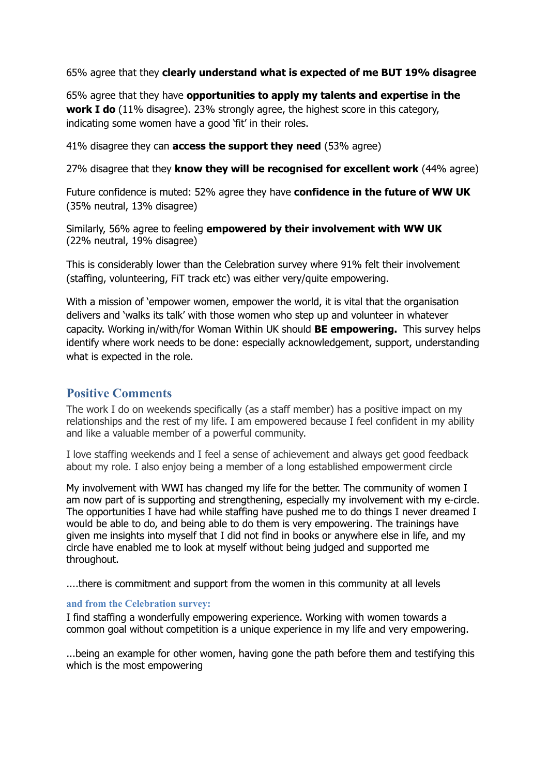65% agree that they **clearly understand what is expected of me BUT 19% disagree**

65% agree that they have **opportunities to apply my talents and expertise in the work I do** (11% disagree). 23% strongly agree, the highest score in this category, indicating some women have a good 'fit' in their roles.

41% disagree they can **access the support they need** (53% agree)

27% disagree that they **know they will be recognised for excellent work** (44% agree)

Future confidence is muted: 52% agree they have **confidence in the future of WW UK** (35% neutral, 13% disagree)

Similarly, 56% agree to feeling **empowered by their involvement with WW UK** (22% neutral, 19% disagree)

This is considerably lower than the Celebration survey where 91% felt their involvement (staffing, volunteering, FiT track etc) was either very/quite empowering.

With a mission of 'empower women, empower the world, it is vital that the organisation delivers and 'walks its talk' with those women who step up and volunteer in whatever capacity. Working in/with/for Woman Within UK should **BE empowering.** This survey helps identify where work needs to be done: especially acknowledgement, support, understanding what is expected in the role.

# **Positive Comments**

The work I do on weekends specifically (as a staff member) has a positive impact on my relationships and the rest of my life. I am empowered because I feel confident in my ability and like a valuable member of a powerful community.

I love staffing weekends and I feel a sense of achievement and always get good feedback about my role. I also enjoy being a member of a long established empowerment circle

My involvement with WWI has changed my life for the better. The community of women I am now part of is supporting and strengthening, especially my involvement with my e-circle. The opportunities I have had while staffing have pushed me to do things I never dreamed I would be able to do, and being able to do them is very empowering. The trainings have given me insights into myself that I did not find in books or anywhere else in life, and my circle have enabled me to look at myself without being judged and supported me throughout.

....there is commitment and support from the women in this community at all levels

## **and from the Celebration survey:**

I find staffing a wonderfully empowering experience. Working with women towards a common goal without competition is a unique experience in my life and very empowering.

...being an example for other women, having gone the path before them and testifying this which is the most empowering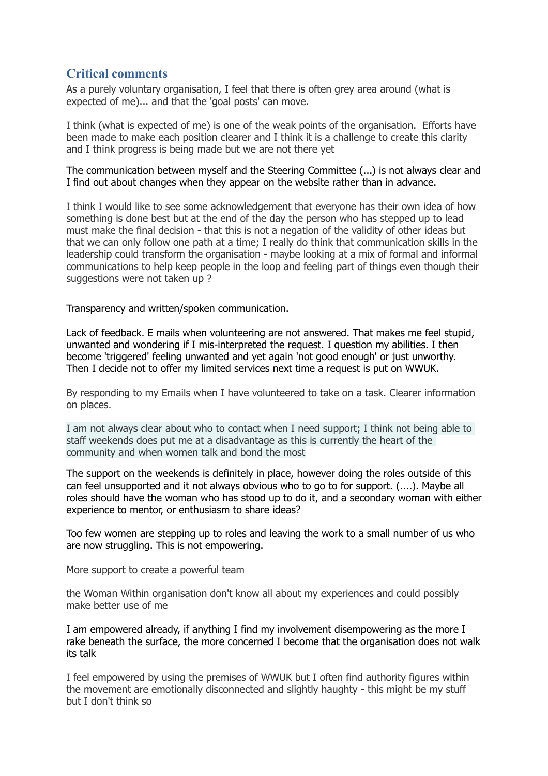## **Critical comments**

As a purely voluntary organisation, I feel that there is often grey area around (what is expected of me)... and that the 'goal posts' can move.

I think (what is expected of me) is one of the weak points of the organisation. Efforts have been made to make each position clearer and I think it is a challenge to create this clarity and I think progress is being made but we are not there yet

The communication between myself and the Steering Committee (...) is not always clear and I find out about changes when they appear on the website rather than in advance.

I think I would like to see some acknowledgement that everyone has their own idea of how something is done best but at the end of the day the person who has stepped up to lead must make the final decision - that this is not a negation of the validity of other ideas but that we can only follow one path at a time; I really do think that communication skills in the leadership could transform the organisation - maybe looking at a mix of formal and informal communications to help keep people in the loop and feeling part of things even though their suggestions were not taken up ?

Transparency and written/spoken communication.

Lack of feedback. E mails when volunteering are not answered. That makes me feel stupid, unwanted and wondering if I mis-interpreted the request. I question my abilities. I then become 'triggered' feeling unwanted and yet again 'not good enough' or just unworthy. Then I decide not to offer my limited services next time a request is put on WWUK.

By responding to my Emails when I have volunteered to take on a task. Clearer information on places.

I am not always clear about who to contact when I need support; I think not being able to staff weekends does put me at a disadvantage as this is currently the heart of the community and when women talk and bond the most

The support on the weekends is definitely in place, however doing the roles outside of this can feel unsupported and it not always obvious who to go to for support. (....). Maybe all roles should have the woman who has stood up to do it, and a secondary woman with either experience to mentor, or enthusiasm to share ideas?

Too few women are stepping up to roles and leaving the work to a small number of us who are now struggling. This is not empowering.

More support to create a powerful team

the Woman Within organisation don't know all about my experiences and could possibly make better use of me

I am empowered already, if anything I find my involvement disempowering as the more I rake beneath the surface, the more concerned I become that the organisation does not walk its talk

I feel empowered by using the premises of WWUK but I often find authority figures within the movement are emotionally disconnected and slightly haughty - this might be my stuff but I don't think so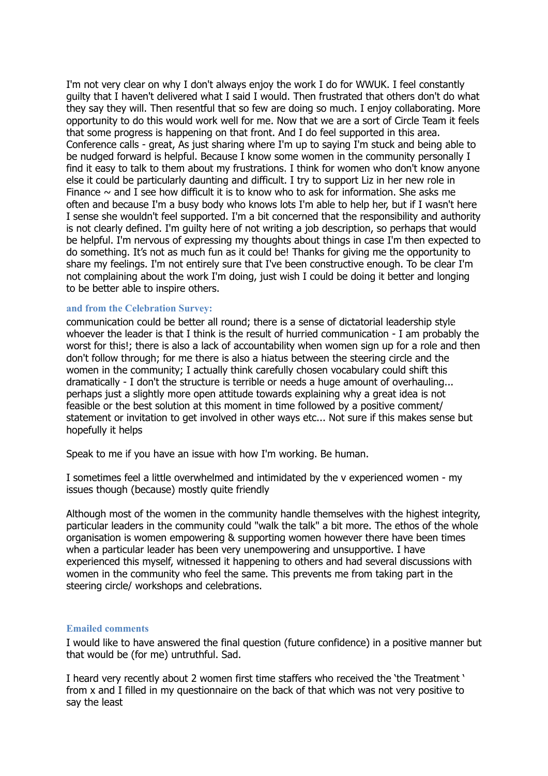I'm not very clear on why I don't always enjoy the work I do for WWUK. I feel constantly guilty that I haven't delivered what I said I would. Then frustrated that others don't do what they say they will. Then resentful that so few are doing so much. I enjoy collaborating. More opportunity to do this would work well for me. Now that we are a sort of Circle Team it feels that some progress is happening on that front. And I do feel supported in this area. Conference calls - great, As just sharing where I'm up to saying I'm stuck and being able to be nudged forward is helpful. Because I know some women in the community personally I find it easy to talk to them about my frustrations. I think for women who don't know anyone else it could be particularly daunting and difficult. I try to support Liz in her new role in Finance  $\sim$  and I see how difficult it is to know who to ask for information. She asks me often and because I'm a busy body who knows lots I'm able to help her, but if I wasn't here I sense she wouldn't feel supported. I'm a bit concerned that the responsibility and authority is not clearly defined. I'm guilty here of not writing a job description, so perhaps that would be helpful. I'm nervous of expressing my thoughts about things in case I'm then expected to do something. It's not as much fun as it could be! Thanks for giving me the opportunity to share my feelings. I'm not entirely sure that I've been constructive enough. To be clear I'm not complaining about the work I'm doing, just wish I could be doing it better and longing to be better able to inspire others.

### **and from the Celebration Survey:**

communication could be better all round; there is a sense of dictatorial leadership style whoever the leader is that I think is the result of hurried communication - I am probably the worst for this!; there is also a lack of accountability when women sign up for a role and then don't follow through; for me there is also a hiatus between the steering circle and the women in the community; I actually think carefully chosen vocabulary could shift this dramatically - I don't the structure is terrible or needs a huge amount of overhauling... perhaps just a slightly more open attitude towards explaining why a great idea is not feasible or the best solution at this moment in time followed by a positive comment/ statement or invitation to get involved in other ways etc... Not sure if this makes sense but hopefully it helps

Speak to me if you have an issue with how I'm working. Be human.

I sometimes feel a little overwhelmed and intimidated by the v experienced women - my issues though (because) mostly quite friendly

Although most of the women in the community handle themselves with the highest integrity, particular leaders in the community could "walk the talk" a bit more. The ethos of the whole organisation is women empowering & supporting women however there have been times when a particular leader has been very unempowering and unsupportive. I have experienced this myself, witnessed it happening to others and had several discussions with women in the community who feel the same. This prevents me from taking part in the steering circle/ workshops and celebrations.

### **Emailed comments**

I would like to have answered the final question (future confidence) in a positive manner but that would be (for me) untruthful. Sad.

I heard very recently about 2 women first time staffers who received the 'the Treatment ' from x and I filled in my questionnaire on the back of that which was not very positive to say the least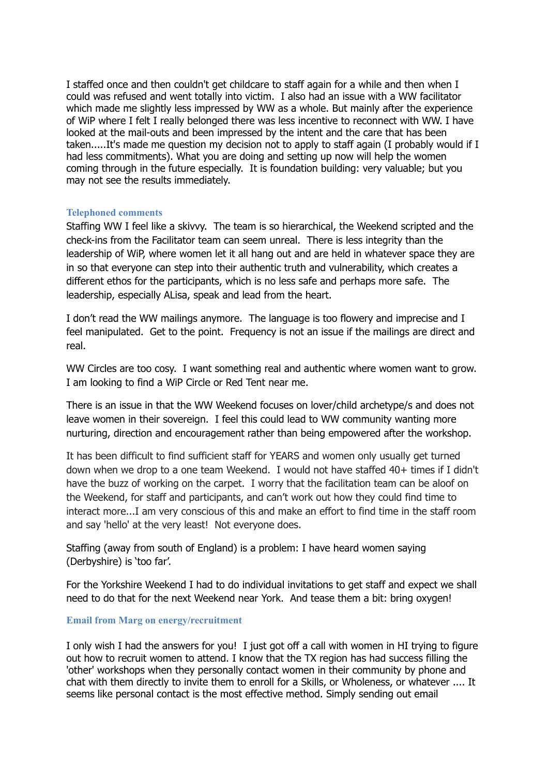I staffed once and then couldn't get childcare to staff again for a while and then when I could was refused and went totally into victim. I also had an issue with a WW facilitator which made me slightly less impressed by WW as a whole. But mainly after the experience of WiP where I felt I really belonged there was less incentive to reconnect with WW. I have looked at the mail-outs and been impressed by the intent and the care that has been taken.....It's made me question my decision not to apply to staff again (I probably would if I had less commitments). What you are doing and setting up now will help the women coming through in the future especially. It is foundation building: very valuable; but you may not see the results immediately.

## **Telephoned comments**

Staffing WW I feel like a skivvy. The team is so hierarchical, the Weekend scripted and the check-ins from the Facilitator team can seem unreal. There is less integrity than the leadership of WiP, where women let it all hang out and are held in whatever space they are in so that everyone can step into their authentic truth and vulnerability, which creates a different ethos for the participants, which is no less safe and perhaps more safe. The leadership, especially ALisa, speak and lead from the heart.

I don't read the WW mailings anymore. The language is too flowery and imprecise and I feel manipulated. Get to the point. Frequency is not an issue if the mailings are direct and real.

WW Circles are too cosy. I want something real and authentic where women want to grow. I am looking to find a WiP Circle or Red Tent near me.

There is an issue in that the WW Weekend focuses on lover/child archetype/s and does not leave women in their sovereign. I feel this could lead to WW community wanting more nurturing, direction and encouragement rather than being empowered after the workshop.

It has been difficult to find sufficient staff for YEARS and women only usually get turned down when we drop to a one team Weekend. I would not have staffed 40+ times if I didn't have the buzz of working on the carpet. I worry that the facilitation team can be aloof on the Weekend, for staff and participants, and can't work out how they could find time to interact more...I am very conscious of this and make an effort to find time in the staff room and say 'hello' at the very least! Not everyone does.

Staffing (away from south of England) is a problem: I have heard women saying (Derbyshire) is 'too far'.

For the Yorkshire Weekend I had to do individual invitations to get staff and expect we shall need to do that for the next Weekend near York. And tease them a bit: bring oxygen!

## **Email from Marg on energy/recruitment**

I only wish I had the answers for you! I just got off a call with women in HI trying to figure out how to recruit women to attend. I know that the TX region has had success filling the 'other' workshops when they personally contact women in their community by phone and chat with them directly to invite them to enroll for a Skills, or Wholeness, or whatever .... It seems like personal contact is the most effective method. Simply sending out email